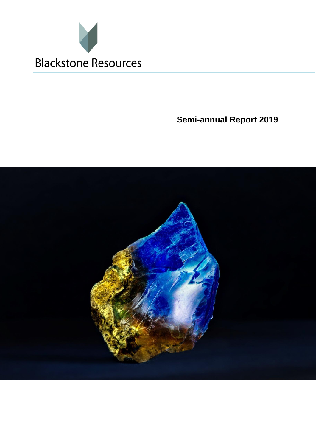

**Semi-annual Report 2019**

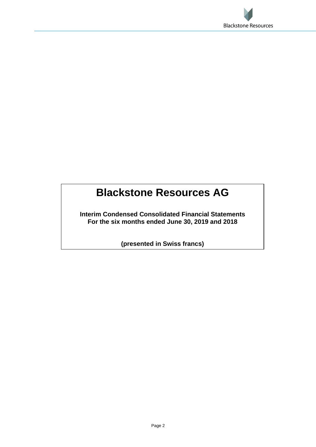

# **Blackstone Resources AG**

**Interim Condensed Consolidated Financial Statements For the six months ended June 30, 2019 and 2018**

**(presented in Swiss francs)**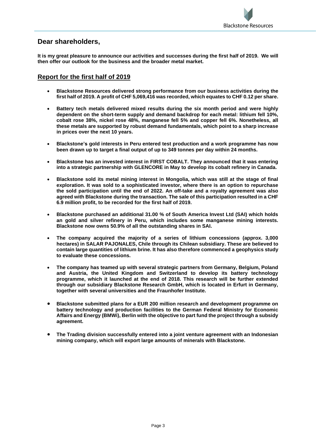

# **Dear shareholders,**

**It is my great pleasure to announce our activities and successes during the first half of 2019. We will then offer our outlook for the business and the broader metal market.**

# **Report for the first half of 2019**

- **Blackstone Resources delivered strong performance from our business activities during the first half of 2019. A profit of CHF 5,069,416 was recorded, which equates to CHF 0.12 per share.**
- **Battery tech metals delivered mixed results during the six month period and were highly dependent on the short-term supply and demand backdrop for each metal: lithium fell 10%, cobalt rose 38%, nickel rose 48%, manganese fell 5% and copper fell 6%. Nonetheless, all these metals are supported by robust demand fundamentals, which point to a sharp increase in prices over the next 10 years.**
- **Blackstone's gold interests in Peru entered test production and a work programme has now been drawn up to target a final output of up to 349 tonnes per day within 24 months.**
- **Blackstone has an invested interest in FIRST COBALT. They announced that it was entering into a strategic partnership with GLENCORE in May to develop its cobalt refinery in Canada.**
- **Blackstone sold its metal mining interest in Mongolia, which was still at the stage of final exploration. It was sold to a sophisticated investor, where there is an option to repurchase the sold participation until the end of 2022. An off-take and a royalty agreement was also agreed with Blackstone during the transaction. The sale of this participation resulted in a CHF 6.9 million profit, to be recorded for the first half of 2019.**
- **Blackstone purchased an additional 31.00 % of South America Invest Ltd (SAI) which holds an gold and silver refinery in Peru, which includes some manganese mining interests. Blackstone now owns 50.9% of all the outstanding shares in SAI.**
- **The company acquired the majority of a series of lithium concessions (approx. 3,000 hectares) in SALAR PAJONALES, Chile through its Chilean subsidiary. These are believed to contain large quantities of lithium brine. It has also therefore commenced a geophysics study to evaluate these concessions.**
- **The company has teamed up with several strategic partners from Germany, Belgium, Poland and Austria, the United Kingdom and Switzerland to develop its battery technology programme, which it launched at the end of 2018. This research will be further extended through our subsidiary Blackstone Research GmbH, which is located in Erfurt in Germany, together with several universities and the Fraunhofer Institute.**
- **Blackstone submitted plans for a EUR 200 million research and development programme on battery technology and production facilities to the German Federal Ministry for Economic Affairs and Energy (BMWi), Berlin with the objective to part fund the project through a subsidy agreement.**
- **The Trading division successfully entered into a joint venture agreement with an Indonesian mining company, which will export large amounts of minerals with Blackstone.**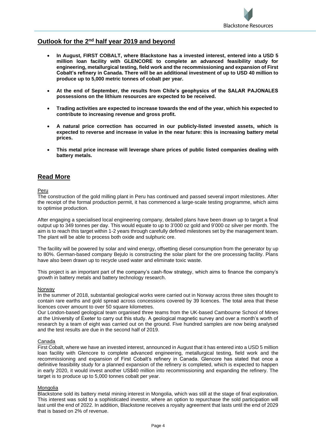# **Outlook for the 2nd half year 2019 and beyond**

- **In August, FIRST COBALT, where Blackstone has a invested interest, entered into a USD 5 million loan facility with GLENCORE to complete an advanced feasibility study for engineering, metallurgical testing, field work and the recommissioning and expansion of First Cobalt's refinery in Canada. There will be an additional investment of up to USD 40 million to produce up to 5,000 metric tonnes of cobalt per year.**
- **At the end of September, the results from Chile's geophysics of the SALAR PAJONALES possessions on the lithium resources are expected to be received.**
- **Trading activities are expected to increase towards the end of the year, which his expected to contribute to increasing revenue and gross profit.**
- **A natural price correction has occurred in our publicly-listed invested assets, which is expected to reverse and increase in value in the near future: this is increasing battery metal prices.**
- **This metal price increase will leverage share prices of public listed companies dealing with battery metals.**

# **Read More**

Peru

The construction of the gold milling plant in Peru has continued and passed several import milestones. After the receipt of the formal production permit, it has commenced a large-scale testing programme, which aims to optimise production.

After engaging a specialised local engineering company, detailed plans have been drawn up to target a final output up to 349 tonnes per day. This would equate to up to 3'000 oz gold and 9'000 oz silver per month. The aim is to reach this target within 1-2 years through carefully defined milestones set by the management team. The plant will be able to process both oxide and sulphuric ore.

The facility will be powered by solar and wind energy, offsetting diesel consumption from the generator by up to 80%. German-based company Bejulo is constructing the solar plant for the ore processing facility. Plans have also been drawn up to recycle used water and eliminate toxic waste.

This project is an important part of the company's cash-flow strategy, which aims to finance the company's growth in battery metals and battery technology research.

## Norway

In the summer of 2018, substantial geological works were carried out in Norway across three sites thought to contain rare earths and gold spread across concessions covered by 39 licences. The total area that these licences cover amount to over 50 square kilometres.

Our London-based geological team organised three teams from the UK-based Cambourne School of Mines at the University of Exeter to carry out this study. A geological magnetic survey and over a month's worth of research by a team of eight was carried out on the ground. Five hundred samples are now being analysed and the test results are due in the second half of 2019.

## Canada

First Cobalt, where we have an invested interest, announced in August that it has entered into a USD 5 million loan facility with Glencore to complete advanced engineering, metallurgical testing, field work and the recommissioning and expansion of First Cobalt's refinery in Canada. Glencore has stated that once a definitive feasibility study for a planned expansion of the refinery is completed, which is expected to happen in early 2020, it would invest another US\$40 million into recommissioning and expanding the refinery. The target is to produce up to 5,000 tonnes cobalt per year.

## Mongolia

Blackstone sold its battery metal mining interest in Mongolia, which was still at the stage of final exploration. This interest was sold to a sophisticated investor, where an option to repurchase the sold participation will last until the end of 2022. In addition, Blackstone receives a royalty agreement that lasts until the end of 2029 that is based on 2% of revenue.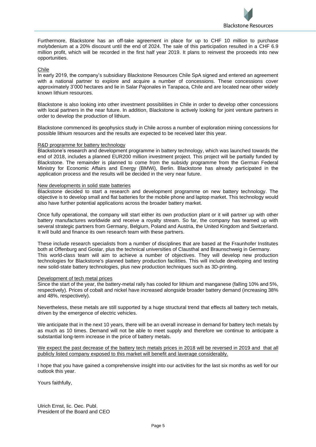

Furthermore, Blackstone has an off-take agreement in place for up to CHF 10 million to purchase molybdenium at a 20% discount until the end of 2024. The sale of this participation resulted in a CHF 6.9 million profit, which will be recorded in the first half year 2019. It plans to reinvest the proceeds into new opportunities.

### Chile

In early 2019, the company's subsidiary Blackstone Resources Chile SpA signed and entered an agreement with a national partner to explore and acquire a number of concessions. These concessions cover approximately 3'000 hectares and lie in Salar Pajonales in Tarapaca, Chile and are located near other widely known lithium resources.

Blackstone is also looking into other investment possibilities in Chile in order to develop other concessions with local partners in the near future. In addition, Blackstone is actively looking for joint venture partners in order to develop the production of lithium.

Blackstone commenced its geophysics study in Chile across a number of exploration mining concessions for possible lithium resources and the results are expected to be received later this year.

#### R&D programme for battery technology

Blackstone's research and development programme in battery technology, which was launched towards the end of 2018, includes a planned EUR200 million investment project. This project will be partially funded by Blackstone. The remainder is planned to come from the subsidy programme from the German Federal Ministry for Economic Affairs and Energy (BMWi), Berlin. Blackstone has already participated in the application process and the results will be decided in the very near future.

#### New developments in solid state batteries

Blackstone decided to start a research and development programme on new battery technology. The objective is to develop small and flat batteries for the mobile phone and laptop market. This technology would also have further potential applications across the broader battery market.

Once fully operational, the company will start either its own production plant or it will partner up with other battery manufactures worldwide and receive a royalty stream. So far, the company has teamed up with several strategic partners from Germany, Belgium, Poland and Austria, the United Kingdom and Switzerland. It will build and finance its own research team with these partners.

These include research specialists from a number of disciplines that are based at the Fraunhofer Institutes both at Offenburg and Goslar, plus the technical universities of Clausthal and Braunschweig in Germany. This world-class team will aim to achieve a number of objectives. They will develop new production technologies for Blackstone's planned battery production facilities. This will include developing and testing new solid-state battery technologies, plus new production techniques such as 3D-printing.

#### Development of tech metal prices

Since the start of the year, the battery-metal rally has cooled for lithium and manganese (falling 10% and 5%, respectively). Prices of cobalt and nickel have increased alongside broader battery demand (increasing 38% and 48%, respectively).

Nevertheless, these metals are still supported by a huge structural trend that effects all battery tech metals, driven by the emergence of electric vehicles.

We anticipate that in the next 10 years, there will be an overall increase in demand for battery tech metals by as much as 10 times. Demand will not be able to meet supply and therefore we continue to anticipate a substantial long-term increase in the price of battery metals.

We expect the past decrease of the battery tech metals prices in 2018 will be reversed in 2019 and that all publicly listed company exposed to this market will benefit and laverage considerably.

I hope that you have gained a comprehensive insight into our activities for the last six months as well for our outlook this year.

Yours faithfully,

Ulrich Ernst, lic. Oec. Publ. President of the Board and CEO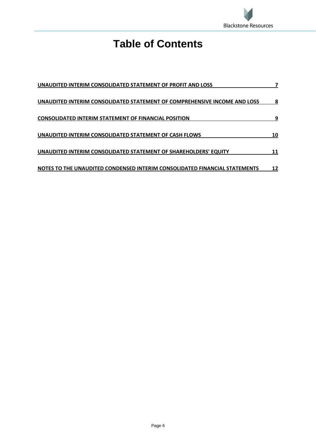

# **Table of Contents**

| UNAUDITED INTERIM CONSOLIDATED STATEMENT OF PROFIT AND LOSS                |    |
|----------------------------------------------------------------------------|----|
| UNAUDITED INTERIM CONSOLIDATED STATEMENT OF COMPREHENSIVE INCOME AND LOSS  | 8  |
| <b>CONSOLIDATED INTERIM STATEMENT OF FINANCIAL POSITION</b>                | 9  |
| UNAUDITED INTERIM CONSOLIDATED STATEMENT OF CASH FLOWS                     | 10 |
| UNAUDITED INTERIM CONSOLIDATED STATEMENT OF SHAREHOLDERS' EQUITY           | 11 |
| NOTES TO THE UNAUDITED CONDENSED INTERIM CONSOLIDATED FINANCIAL STATEMENTS | 12 |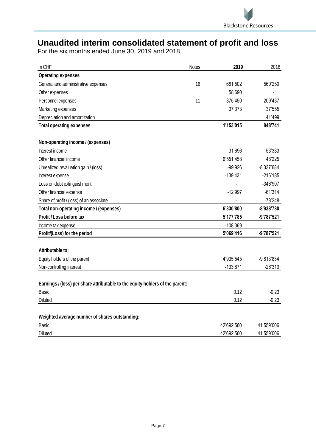

# <span id="page-6-0"></span>**Unaudited interim consolidated statement of profit and loss**

| in CHF                                                                        | <b>Notes</b> | 2019       | 2018       |
|-------------------------------------------------------------------------------|--------------|------------|------------|
| <b>Operating expenses</b>                                                     |              |            |            |
| General and administrative expenses                                           | 16           | 681'502    | 560'250    |
| Other expenses                                                                |              | 58'690     |            |
| Personnel expenses                                                            | 11           | 375'450    | 209'437    |
| Marketing expenses                                                            |              | 37'373     | 37'555     |
| Depreciation and amortization                                                 |              |            | 41'499     |
| <b>Total operating expenses</b>                                               |              | 1'153'015  | 848'741    |
|                                                                               |              |            |            |
| Non-operating income / (expenses)                                             |              |            |            |
| Interest income                                                               |              | 31'696     | 53'333     |
| Other financial income                                                        |              | 6'551'458  | 48'225     |
| Unrealized revaluation gain / (loss)                                          |              | -99'926    | -8'337'684 |
| Interest expense                                                              |              | $-139'431$ | $-216'185$ |
| Loss on debt extinguishment                                                   |              |            | -346'907   |
| Other financial expense                                                       |              | $-12'997$  | $-61'314$  |
| Share of profit / (loss) of an associate                                      |              |            | $-78'248$  |
| Total non-operating income / (expenses)                                       |              | 6'330'800  | -8'938'780 |
| Profit / Loss before tax                                                      |              | 5'177'785  | -9'787'521 |
| Income tax expense                                                            |              | -108'369   |            |
| Profit/(Loss) for the period                                                  |              | 5'069'416  | -9'787'521 |
|                                                                               |              |            |            |
| Attributable to:                                                              |              |            |            |
| Equity holders of the parent                                                  |              | 4'935'545  | -9'813'834 |
| Non-controlling interest                                                      |              | $-133'871$ | $-26'313$  |
|                                                                               |              |            |            |
| Earnings / (loss) per share attributable to the equity holders of the parent: |              |            |            |
| <b>Basic</b>                                                                  |              | 0.12       | $-0.23$    |
| <b>Diluted</b>                                                                |              | 0.12       | $-0.23$    |
|                                                                               |              |            |            |
| Weighted average number of shares outstanding:                                |              |            |            |
| <b>Basic</b>                                                                  |              | 42'692'560 | 41'559'006 |
| <b>Diluted</b>                                                                |              | 42'692'560 | 41'559'006 |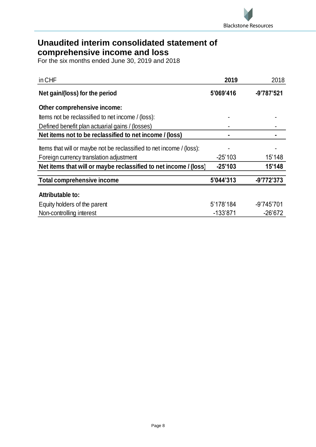

# <span id="page-7-0"></span>**Unaudited interim consolidated statement of comprehensive income and loss**

| in CHF                                                               | 2019       | 2018         |
|----------------------------------------------------------------------|------------|--------------|
| Net gain/(loss) for the period                                       | 5'069'416  | -9'787'521   |
| Other comprehensive income:                                          |            |              |
| Items not be reclassified to net income / (loss):                    |            |              |
| Defined benefit plan actuarial gains / (losses)                      |            |              |
| Net items not to be reclassified to net income / (loss)              |            |              |
| Items that will or maybe not be reclassified to net income / (loss): |            |              |
| Foreign currency translation adjustment                              | $-25'103$  | 15'148       |
| Net items that will or maybe reclassified to net income / (loss)     | $-25'103$  | 15'148       |
| <b>Total comprehensive income</b>                                    | 5'044'313  | $-9'772'373$ |
| Attributable to:                                                     |            |              |
| Equity holders of the parent                                         | 5'178'184  | -9'745'701   |
| Non-controlling interest                                             | $-133'871$ | $-26'672$    |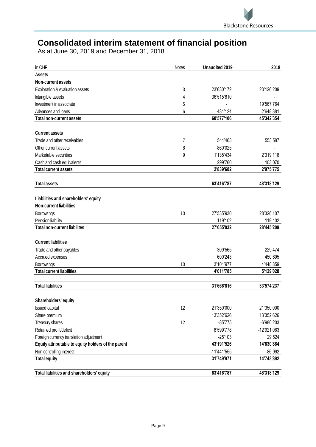

# <span id="page-8-0"></span>**Consolidated interim statement of financial position**

As at June 30, 2019 and December 31, 2018

| in CHF                                              | Notes | <b>Unaudited 2019</b> | 2018                   |
|-----------------------------------------------------|-------|-----------------------|------------------------|
| <b>Assets</b>                                       |       |                       |                        |
| Non-current assets                                  |       |                       |                        |
| Exploration & evaluation assets                     | 3     | 23'630'172            | 23'126'209             |
| Intangible assets                                   | 4     | 36'515'810            |                        |
| Investment in associate                             | 5     |                       | 19'567'764             |
| Advances and loans                                  | 6     | 431'124               | 2'648'381              |
| <b>Total non-current assets</b>                     |       | 60'577'106            | 45'342'354             |
|                                                     |       |                       |                        |
| <b>Current assets</b>                               |       |                       |                        |
| Trade and other receivables                         | 7     | 544'463               | 553'587                |
| Other current assets                                | 8     | 860'025               |                        |
| Marketable securities                               | 9     | 1'135'434             | 2'319'118              |
| Cash and cash equivalents                           |       | 299'760               | 103'070                |
| <b>Total current assets</b>                         |       | 2'839'682             | 2'975'775              |
| <b>Total assets</b>                                 |       | 63'416'787            | 48'318'129             |
|                                                     |       |                       |                        |
| Liabilities and shareholders' equity                |       |                       |                        |
| <b>Non-current liabilities</b>                      |       |                       |                        |
| Borrowings                                          | 10    | 27'535'930            | 28'326'107             |
| Pension liability                                   |       | 119'102               | 119'102                |
| <b>Total non-current liabilites</b>                 |       | 27'655'032            | 28'445'209             |
| <b>Current liabilities</b>                          |       |                       |                        |
|                                                     |       |                       | 229'474                |
| Trade and other payables                            |       | 309'565               |                        |
| Accrued expenses                                    |       | 600'243               | 450'695                |
| Borrowings<br><b>Total current liabilities</b>      | 10    | 3'101'977             | 4'448'859<br>5'129'028 |
|                                                     |       | 4'011'785             |                        |
| <b>Total liabilities</b>                            |       | 31'666'816            | 33'574'237             |
| Shareholders' equity                                |       |                       |                        |
| <b>Issued capital</b>                               | 12    | 21'350'000            | 21'350'000             |
| Share premium                                       |       | 13'352'626            | 13'352'626             |
| Treasury shares                                     | 12    | $-85'775$             | -6'980'203             |
| Retained profit/deficit                             |       | 8'599'778             |                        |
| Foreign currency translation adjustment             |       | $-25'103$             | -12'921'063<br>29'524  |
| Equity attributable to equity holders of the parent |       | 43'191'526            | 14'830'884             |
|                                                     |       | -11'441'555           | -86'992                |
| Non-controlling interest<br><b>Total equity</b>     |       | 31'749'971            | 14'743'892             |
|                                                     |       |                       |                        |
| Total liabilities and shareholders' equity          |       | 63'416'787            | 48'318'129             |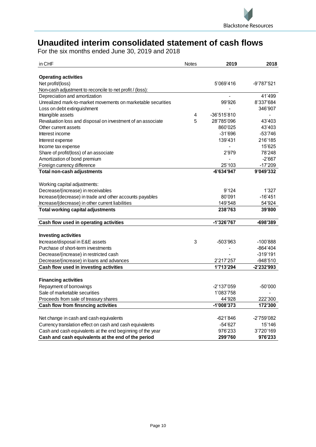

# <span id="page-9-0"></span>**Unaudited interim consolidated statement of cash flows**

| in CHF                                                       | <b>Notes</b> | 2019                   | 2018                   |
|--------------------------------------------------------------|--------------|------------------------|------------------------|
| <b>Operating activities</b>                                  |              |                        |                        |
| Net profit/(loss)                                            |              | 5'069'416              | -9'787'521             |
| Non-cash adjustment to reconcile to net profit / (loss):     |              |                        |                        |
| Depreciation and amortization                                |              |                        | 41'499                 |
| Unrealized mark-to-market movements on marketable securities |              | 99'926                 | 8'337'684              |
| Loss on debt extinguishment                                  |              |                        | 346'907                |
| Intangible assets                                            | 4            | -36'515'810            |                        |
| Revaluation loss and disposal on investment of an associate  | 5            | 28'785'096             | 43'403                 |
| Other current assets                                         |              | 860'025                | 43'403                 |
| Interest income                                              |              | $-31'696$              | $-53'746$              |
| Interest expense                                             |              | 139'431                | 216'185                |
| Income tax expense                                           |              |                        | 15'625                 |
| Share of profit/(loss) of an associate                       |              | 2'979                  | 78'248                 |
| Amortization of bond premium                                 |              |                        | $-2'667$               |
| Foreign currency difference                                  |              | 25'103                 | $-17'209$              |
| Total non-cash adjustments                                   |              | -6'634'947             | 9'049'332              |
|                                                              |              |                        |                        |
| Working capital adjustments:                                 |              |                        |                        |
| Decrease/(increase) in receivables                           |              | 9'124                  | 1'327                  |
| Increase/(decrease) in trade and other accounts payables     |              | 80'091                 | $-16'451$              |
| Increase/(decrease) in other current liabilities             |              | 149'548                | 54'924                 |
| <b>Total working capital adjustments</b>                     |              | 238'763                | 39'800                 |
|                                                              |              |                        |                        |
| Cash flow used in operating activities                       |              | -1'326'767             | -698'389               |
|                                                              |              |                        |                        |
| <b>Investing activities</b>                                  |              |                        |                        |
| Increase/disposal in E&E assets                              | 3            | -503'963               | $-100'888$             |
| Purchase of short-term investments                           |              |                        | $-864'404$             |
| Decrease/(increase) in restricted cash                       |              |                        | $-319'191$             |
| Decrease/(increase) in loans and advances                    |              | 2'217'257<br>1'713'294 | -948'510<br>-2'232'993 |
| Cash flow used in investing activities                       |              |                        |                        |
| <b>Financing activities</b>                                  |              |                        |                        |
| Repayment of borrowings                                      |              | -2'137'059             | -50'000                |
| Sale of marketable securities                                |              | 1'083'758              |                        |
| Proceeds from sale of treasury shares                        |              | 44'928                 | 222'300                |
| Cash flow from finsncing activities                          |              | -1'008'373             | 172'300                |
|                                                              |              |                        |                        |
| Net change in cash and cash equivalents                      |              | -621'846               | -2'759'082             |
| Currency translation effect on cash and cash equivalents     |              | -54'627                | 15'146                 |
| Cash and cash equivalents at the end beginning of the year   |              | 976'233                | 3'720'169              |
| Cash and cash equivalents at the end of the period           |              | 299'760                | 976'233                |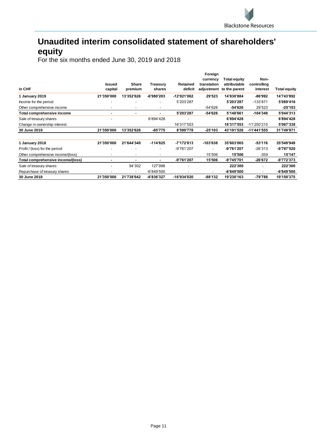# <span id="page-10-0"></span>**Unaudited interim consolidated statement of shareholders' equity**

|                                   | <b>Issued</b>            | Share                    | Treasury                 | Retained    | Foreign<br>currency<br>translation | <b>Total equity</b><br>attributable | Non-<br>controlling      |              |
|-----------------------------------|--------------------------|--------------------------|--------------------------|-------------|------------------------------------|-------------------------------------|--------------------------|--------------|
| in CHF                            | capital                  | premium                  | shares                   | deficit     | adjustment                         | to the parent                       | interest                 | Total equity |
| 1 January 2019                    | 21'350'000               | 13'352'626               | -6'980'203               | -12'921'062 | 29'523                             | 14'830'884                          | -86'992                  | 14'743'892   |
| Income for the period             | $\overline{\phantom{a}}$ | $\overline{\phantom{a}}$ | $\overline{\phantom{a}}$ | 5'203'287   |                                    | 5'203'287                           | $-133'871$               | 5'069'416    |
| Other comprehensive income        |                          | $\overline{\phantom{a}}$ | $\overline{\phantom{a}}$ |             | -54'626                            | -54'626                             | 29'523                   | $-25'103$    |
| Total comprehensive income        | ۰                        | ٠                        | ۰                        | 5'203'287   | -54'626                            | 5'148'661                           | $-104'348$               | 5'044'313    |
| Sale of treasury shares           |                          |                          | 6'894'428                |             |                                    | 6'894'428                           | $\overline{\phantom{a}}$ | 6'894'428    |
| Change in ownership interest      |                          |                          |                          | 16'317'553  |                                    | 16'317'553                          | -11'250'215              | 5'067'338    |
| 30 June 2019                      | 21'350'000               | 13'352'626               | -85'775                  | 8'599'778   | $-25'103$                          | 43'191'526                          | -11'441'555              | 31'749'971   |
|                                   |                          |                          |                          |             |                                    |                                     |                          |              |
| 1 January 2018                    | 21'350'000               | 21'644'340               | $-114'825$               | -7'172'813  | $-103'638$                         | 35'603'065                          | -53'116                  | 35'549'949   |
| Profit / (loss) for the period    |                          |                          | $\overline{\phantom{a}}$ | -9'761'207  | $\blacksquare$                     | -9'761'207                          | $-26'313$                | -9'787'520   |
| Other comprehensive income/(loss) |                          | $\overline{\phantom{a}}$ | $\overline{\phantom{a}}$ |             | 15'506                             | 15'506                              | $-359$                   | 15'147       |
| Total comprehensive income/(loss) |                          |                          | $\blacksquare$           | -9'761'207  | 15'506                             | -9'745'701                          | -26'672                  | -9'772'373   |
| Sale of treasury shares           |                          | 94'302                   | 127'998                  |             |                                    | 222'300                             | $\overline{\phantom{a}}$ | 222'300      |
| Repurchase of treasury shares     |                          | $\overline{\phantom{a}}$ | $-6'849'500$             |             | ۰                                  | -6'849'500                          | $\overline{\phantom{a}}$ | $-6'849'500$ |
| <b>30 June 2018</b>               | 21'350'000               | 21'738'642               | -6'836'327               | -16'934'020 | $-88'132$                          | 19'230'163                          | -79'788                  | 19'150'375   |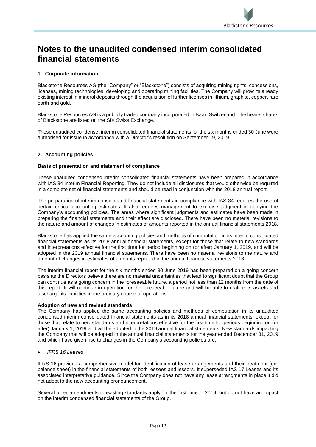# <span id="page-11-0"></span>**Notes to the unaudited condensed interim consolidated financial statements**

# **1. Corporate information**

Blackstone Resources AG (the "Company" or "Blackstone") consists of acquiring mining rights, concessions, licenses, mining technologies, developing and operating mining facilities. The Company will grow its already existing interest in mineral deposits through the acquisition of further licenses in lithium, graphite, copper, rare earth and gold.

Blackstone Resources AG is a publicly traded company incorporated in Baar, Switzerland. The bearer shares of Blackstone are listed on the SIX Swiss Exchange.

These unaudited condenset interim consolidated financial statements for the six months ended 30 June were authorised for issue in accordance with a Director's resolution on September 19, 2019.

# **2. Accounting policies**

## **Basis of presentation and statement of compliance**

These unaudited condensed interim consolidated financial statements have been prepared in accordance with IAS 34 Interim Financial Reporting. They do not include all disclosures that would otherwise be required in a complete set of financial statements and should be read in conjunction with the 2018 annual report.

The preparation of interim consolidated financial statements in compliance with IAS 34 requires the use of certain critical accounting estimates. It also requires management to exercise judgment in applying the Company's accounting policies. The areas where significant judgments and estimates have been made in preparing the financial statements and their effect are disclosed. There have been no material revisions to the nature and amount of changes in estimates of amounts reported in the annual financial statements 2018.

Blackstone has applied the same accounting policies and methods of computation in its interim consolidated financial statements as its 2018 annual financial statements, except for those that relate to new standards and interpretations effective for the first time for period beginning on (or after) January 1, 2019, and will be adopted in the 2019 annual financial statements. There have been no material revisions to the nature and amount of changes in estimates of amounts reported in the annual financial statements 2018.

The interim financial report for the six months ended 30 June 2019 has been prepared on a going concern basis as the Directors believe there are no material uncertainties that lead to significant doubt that the Group can continue as a going concern in the foreseeable future, a period not less than 12 months from the date of this report. It will continue in operation for the foreseeable future and will be able to realize its assets and discharge its liabilities in the ordinary course of operations.

## **Adoption of new and revised standards**

The Company has applied the same accounting policies and methods of computation in its unaudited condensed interim consolidated financial statements as in its 2018 annual financial statements, except for those that relate to new standards and interpretations effective for the first time for periods beginning on (or after) January 1, 2019 and will be adopted in the 2019 annual financial statements. New standards impacting the Company that will be adopted in the annual financial statements for the year ended December 31, 2019 and which have given rise to changes in the Company's accounting policies are:

• *IFRS 16 Leases*

IFRS 16 provides a comprehensive model for identification of lease arrangements and their treatment (onbalance sheet) in the financial statements of both lessees and lessors. It superseded IAS 17 Leases and its associated interpretative guidance. Since the Company does not have any lease arrangments in place it did not adopt to the new accounting pronouncement.

Several other amendments to existing standards apply for the first time in 2019, but do not have an impact on the interim condensed financial statements of the Group.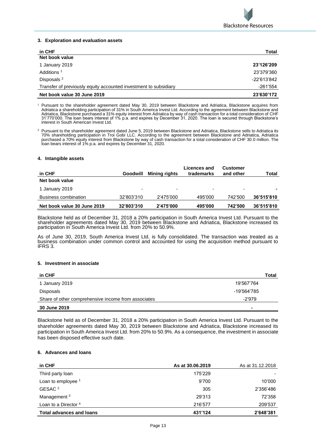

### **3. Exploration and evaluation assets**

| in CHF                                                           | Total       |
|------------------------------------------------------------------|-------------|
| Net book value                                                   |             |
| 1 January 2019                                                   | 23'126'209  |
| Additions <sup>1</sup>                                           | 23'379'360  |
| Disposals <sup>2</sup>                                           | -22'613'842 |
| Transfer of previously equity accounted investment to subsidiary | -261'554    |
| Net book value 30 June 2019                                      | 23'630'172  |

<sup>1</sup> Pursuant to the shareholder agreement dated May 30, 2019 between Blackstone and Adriatica, Blackstone acquires from Adriatica a shareholding participation of 31% in South America Invest Ltd. According to the agreement between Blackstone and Adriatica, Blackstone purchased a 31% equity interest from Adriatica by way of cash transaction for a total consideration of CHF<br>31'770'000. The Ioan bears interest of 1% p.a. and expires by December 31, 2020. The Ioan is interest in South American Invest Ltd.

<sup>2</sup> Pursuant to the shareholder agreement dated June 5, 2019 between Blackstone and Adriatica, Blackstone sells to Adriatica its 70% shareholding participation in Troi Gobi LLC. According to the agreement between Blackstone and Adriatica, Adriatica purchased a 70% equity interest from Blackstone by way of cash transaction for a total consideration of CHF 30.0 million. The loan bears interest of 1% p.a. and expires by December 31, 2020.

#### **4. Intangible assets**

| in CHF                      | <b>Goodwill</b> | Mining rights | Licences and<br>trademarks | <b>Customer</b><br>and other | Total      |
|-----------------------------|-----------------|---------------|----------------------------|------------------------------|------------|
| Net book value              |                 |               |                            |                              |            |
| 1 January 2019              | ۰               | -             | ۰                          | $\overline{\phantom{0}}$     |            |
| Business combination        | 32'803'310      | 2'475'000     | 495'000                    | 742'500                      | 36'515'810 |
| Net book value 30 June 2019 | 32'803'310      | 2'475'000     | 495'000                    | 742'500                      | 36'515'810 |

Blackstone held as of December 31, 2018 a 20% participation in South America Invest Ltd. Pursuant to the shareholder agreements dated May 30, 2019 between Blackstone and Adriatica, Blackstone increased its participation in South America Invest Ltd. from 20% to 50.9%.

As of June 30, 2019, South America Invest Ltd. is fully consolidated. The transaction was treated as a business combination under common control and accounted for using the acquisition method pursuant to IFRS 3.

#### **5. Investment in associate**

| in CHF                                              |             | Total |
|-----------------------------------------------------|-------------|-------|
| 1 January 2019                                      | 19'567'764  |       |
| <b>Disposals</b>                                    | -19'564'785 |       |
| Share of other comprehensive income from associates | -2'979      |       |
| 30 June 2019                                        |             |       |

Blackstone held as of December 31, 2018 a 20% participation in South America Invest Ltd. Pursuant to the shareholder agreements dated May 30, 2019 between Blackstone and Adriatica, Blackstone increased its participation in South America Invest Ltd. from 20% to 50.9%. As a consequence, the investment in associate has been disposed effective such date.

## **6. Advances and loans**

| in CHF                          | As at 30.06.2019 | As at 31.12.2018 |
|---------------------------------|------------------|------------------|
| Third party loan                | 175'229          |                  |
| Loan to employee 1              | 9'700            | 10'000           |
| GESAC <sup>2</sup>              | 305              | 2'356'486        |
| Management <sup>3</sup>         | 29'313           | 72'358           |
| Loan to a Director <sup>4</sup> | 216'577          | 209'537          |
| <b>Total advances and loans</b> | 431'124          | 2'648'381        |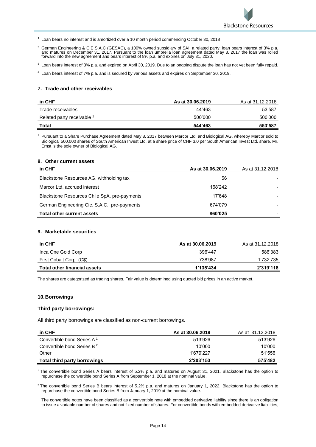

<sup>1</sup> Loan bears no interest and is amortized over a 10 month period commencing October 30, 2018

- <sup>2</sup> German Engineering & CIE S.A.C (GESAC), a 100% owned subsidiary of SAI, a related party; loan bears interest of 3% p.a.<br>and matures on December 31, 2017. Pursuant to the loan umbrella loan agreement dated May 8, 2017 t forward into the new agreement and bears interest of 8% p.a. and expires on July 31, 2020.
- <sup>3</sup> Loan bears interest of 3% p.a. and expired on April 30, 2019. Due to an ongoing dispute the loan has not yet been fully repaid.
- <sup>4</sup> Loan bears interest of 7% p.a. and is secured by various assets and expires on September 30, 2019.

#### **7. Trade and other receivables**

| in CHF                     | As at 30.06.2019 | As at 31.12.2018 |
|----------------------------|------------------|------------------|
| Trade receivables          | 44'463           | 53'587           |
| Related party receivable 1 | 500'000          | 500'000          |
| Total                      | 544'463          | 553'587          |

<sup>1</sup> Pursuant to a Share Purchase Agreement dated May 8, 2017 between Marcor Ltd. and Biological AG, whereby Marcor sold to Biological 500,000 shares of South American Invest Ltd. at a share price of CHF 3.0 per South American Invest Ltd. share. Mr. Ernst is the sole owner of Biological AG.

#### **8. Other current assets**

| in CHF                                       | As at 30.06.2019 | As at 31.12.2018 |
|----------------------------------------------|------------------|------------------|
| Blackstone Resources AG, withholding tax     | 56               |                  |
| Marcor Ltd, accrued interest                 | 168'242          |                  |
| Blackstone Resources Chile SpA, pre-payments | 17'648           |                  |
| German Engineering Cie. S.A.C., pre-payments | 674'079          |                  |
| <b>Total other current assets</b>            | 860'025          |                  |

#### **9. Marketable securities**

| in CHF                       | As at 30.06.2019 | As at 31.12.2018 |
|------------------------------|------------------|------------------|
| Inca One Gold Corp           | 396'447          | 586'383          |
| First Cobalt Corp. (C\$)     | 738'987          | 1'732'735        |
| Total other financial assets | 1'135'434        | 2'319'118        |

The shares are categorized as trading shares. Fair value is determined using quoted bid prices in an active market.

#### **10.Borrowings**

#### **Third party borrowings:**

All third party borrowings are classified as non-current borrowings.

| in CHF                                 | As at 30.06.2019 | As at 31.12.2018 |
|----------------------------------------|------------------|------------------|
| Convertible bond Series A <sup>1</sup> | 513'926          | 513'926          |
| Convertible bond Series B <sup>2</sup> | 10'000           | 10'000           |
| Other                                  | 1'679'227        | 51'556           |
| Total third party borrowings           | 2'203'153        | 575'482          |

<sup>1</sup> The convertible bond Series A bears interest of 5.2% p.a. and matures on August 31, 2021. Blackstone has the option to repurchase the convertible bond Series A from September 1, 2018 at the nominal value.

<sup>2</sup> The convertible bond Series B bears interest of 5.2% p.a. and matures on January 1, 2022. Blackstone has the option to repurchase the convertible bond Series B from January 1, 2019 at the nominal value.

The convertible notes have been classified as a convertible note with embedded derivative liability since there is an obligation to issue a variable number of shares and not fixed number of shares. For convertible bonds with embedded derivative liabilities,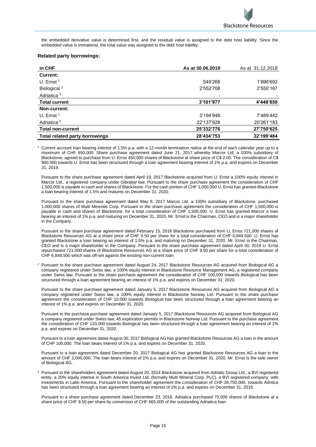the embedded derivative value is determined first, and the residual value is assigned to the debt host liability. Since the embedded value is immaterial, the total value was assigned to the debt host liability.

#### **Related party borrowings:**

| in CHF                         | As at 30.06.2019 | As at 31.12.2018 |
|--------------------------------|------------------|------------------|
| <b>Current:</b>                |                  |                  |
| U. Ernst $1$                   | 549'268          | 1'898'692        |
| Biological <sup>2</sup>        | 2'552'708        | 2'550'167        |
| Adriatica <sup>3</sup>         | ٠                |                  |
| <b>Total current</b>           | 3'101'977        | 4'448'859        |
| Non-current:                   |                  |                  |
| U. Ernst $1$                   | 3'194'948        | 7'489'442        |
| Adriatica <sup>3</sup>         | 22'137'828       | 20'261'183       |
| <b>Total non-current</b>       | 25'332'776       | 27'750'625       |
| Total related party borrowings | 28'434'753       | 32'199'484       |

<sup>1</sup> Current account loan bearing interest of 1.5% p.a. with a 12-month termination notice at the end of each calendar year up to a maximum of CHF 650,000. Share purchase agreement dated June 21, 2017 whereby Marcor Ltd, a 100% subsidiary of Blackstone, agreed to purchase from U. Ernst 450,000 shares of Blackstone at share price of C\$ 2.00. The consideration of C\$ 900,000 towards U. Ernst has been structured through a loan agreement bearing interest of 1% p.a. and expires on December 31, 2019.

Pursuant to the share purchase agreement dated April 19, 2017 Blackstone acquired from U. Ernst a 100% equity interest in Marcor Ltd., a registered company under Gibraltar law. Pursuant to the share purchase agreement the consideration of CHF 1,500,000 is payable in cash and shares of Blackstone. For the cash portion of CHF 1,000,000 U. Ernst has granted Blackstone a loan bearing interest of 1.5% and matures on December 31, 2020.

Pursuant to the share purchase agreement dated May 8, 2017 Marcor Ltd, a 100% subsidiary of Blackstone, purchased 1,000,000 shares of Multi Minerals Corp. Pursuant to the share purchase agreement the consideration of CHF 1,500,000 is payable in cash and shares of Blackstone. for a total consideration of CHF 1,500,000. U. Ernst has granted Marcor a loan bearing an interest of 1% p.a. and maturing on December 31, 2020. Mr. Ernst is the Chairman, CEO and is a major shareholder in the Company.

Pursuant to the share purchase agreement dated February 15, 2018 Blackstone purchased from U. Ernst 721,000 shares of Blackstone Resources AG at a share price of CHF 9.50 per share for a total consideration of CHF 6,849,500. U. Ernst has granted Blackstone a loan bearing an interest of 1.5% p.a. and maturing on December 31, 2020. Mr. Ernst is the Chairman, CEO and is a major shareholder in the Company. Persuant to the share purchase agreement dated April 30, 2019 U. Ernst repurchased 721,000 shares of Blackstone Resources AG at a share price of CHF 9.50 per share for a total consideration of CHF 6,849,500 which was off-set against the existing non-current loan.

<sup>2</sup> Pursuant to the share purchase agreement dated August 24, 2017 Blackstone Resources AG acquired from Biological AG a company registered under Swiss law, a 100% equity interest in Blackstone Resource Management AG, a registered company under Swiss law. Pursuant to the share purchase agreement the consideration of CHF 100,000 towards Biological has been structured through a loan agreement bearing an interest of 1% p.a. and expires on December 31, 2020.

Pursuant to the share purchase agreement dated January 5, 2017 Blackstone Resources AG acquired from Biological AG a company registered under Swiss law, a 100% equity interest in Blackstone Norway Ltd. Pursuant to the share purchase agreement the consideration of CHF 10,000 towards Biological has been structured through a loan agreement bearing an interest of 1% p.a. and expires on December 31, 2020.

Pursuant to the purchase purchase agreement dated January 5, 2017 Blackstone Resources AG acquired from Biological AG a company registered under Swiss law, 45 exploration permits in Blackstone Norway Ltd. Pursuant to the purchase agreement the consideration of CHF 120,000 towards Biological has been structured through a loan agreement bearing an interest of 1% p.a. and expires on December 31, 2020.

Pursuant to a loan agreement dated August 30, 2017 Biological AG has granted Blackstone Resources AG a loan in the amount of CHF 100,000. The loan bears interest of 1% p.a. and expires on December 31, 2020,

Pursuant to a loan agreement dated December 20, 2017 Biological AG has granted Blackstone Resources AG a loan in the amount of CHF 2,000,000. The loan bears interest of 1% p.a. and expires on December 31, 2020. Mr. Ernst is the sole owner of Biological AG.

<sup>3</sup> Pursuant to the shareholders agreement dated August 20, 2014 Blackstone acquired from Adriatic Group Ltd., a BVI registered entity, a 20% equity interest in South America Invest Ltd. (formally Multi Mineral Corp. PLC), a BVI registered company, with investments in Latin America. Pursuant to the shareholder agreement the consideration of CHF 26,750,000. towards Adritica has been structured through a loan agreement bearing an interest of 1% p.a. and expires on December 31, 2016.

Pursuant to a share purchase agreement dated December 23, 2016, Adriatica purchased 70,000 shares of Blackstone at a share price of CHF 9.50 per share by conversion of CHF 665,000 of the outstanding Adriatica loan.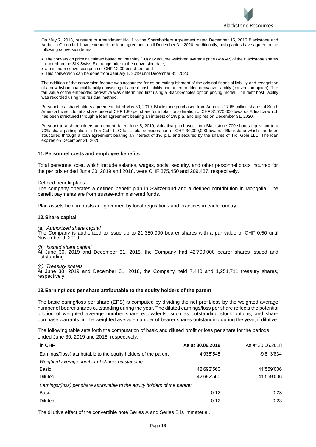

On May 7, 2018, pursuant to Amendment No. 1 to the Shareholders Agreement dated December 15, 2016 Blackstone and Adriatica Group Ltd. have extended the loan agreement until December 31, 2020. Additionally, both parties have agreed to the following conversion terms:

- The conversion price calculated based on the thirty (30) day volume weighted average price (VWAP) of the Blackstone shares quoted on the SIX Swiss Exchange prior to the conversion date;
- a minimum conversion price of CHF 12.00 per share; and
- This conversion can be done from January 1, 2019 until December 31, 2020.

The addition of the conversion feature was accounted for as an extinguishment of the original financial liability and recognition of a new hybrid financial liability consisting of a debt host liability and an embedded derivative liability (conversion option). The fair value of the embedded derivative was determined first using a Black-Scholes option pricing model. The debt host liability was recorded using the residual method.

Pursuant to a shareholders agreement dated May 30, 2019, Blackstone purchased from Adriatica 17.65 million shares of South America Invest Ltd. at a share price of CHF 1.80 per share for a total consideration of CHF 31,770,000 towards Adriatica which has been structured through a loan agreement bearing an interest of 1% p.a. and expires on December 31, 2020.

Pursuant to a shareholders agreement dated June 5, 2019, Adriatica purchased from Blackstone 700 shares equivilant to a 70% share participation in Troi Gobi LLC for a total consideration of CHF 30,000,000 towards Blackstone which has been structured through a loan agreement bearing an interest of 1% p.a. and secured by the shares of Troi Gobi LLC. The loan expires on December 31, 2020.

#### **11.Personnel costs and employee benefits**

Total personnel cost, which include salaries, wages, social security, and other personnel costs incurred for the periods ended June 30, 2019 and 2018, were CHF 375,450 and 209,437, respectively.

#### Defined benefit plans

The company operates a defined benefit plan in Switzerland and a defined contribution in Mongolia. The benefit payments are from trustee-administrered funds.

Plan assets held in trusts are governed by local regulations and practices in each country.

#### **12.Share capital**

*(a) Authorized share capital*  The Company is authorized to issue up to 21,350,000 bearer shares with a par value of CHF 0.50 until November 9, 2019.

*(b) Issued share capital* 

At June 30, 2019 and December 31, 2018, the Company had 42'700'000 bearer shares issued and outstanding.

*(c) Treasury shares*  At June 30, 2019 and December 31, 2018, the Company held 7,440 and 1,251,711 treasury shares, respectively.

#### **13.Earning/loss per share attributable to the equity holders of the parent**

The basic earing/loss per share (EPS) is computed by dividing the net profit/loss by the weighted average number of bearer shares outstanding during the year. The diluted earnings/loss per share reflects the potential dilution of weighted average number share equivalents, such as outstanding stock options, and share purchase warrants, in the weighted average number of bearer shares outstanding during the year, if dilutive.

The following table sets forth the computation of basic and diluted profit or loss per share for the periods ended June 30, 2019 and 2018, respectively:

| in CHF                                                                      | As at 30.06.2019 | As at 30.06.2018 |
|-----------------------------------------------------------------------------|------------------|------------------|
| Earnings/(loss) attributable to the equity holders of the parent:           | 4'935'545        | -9'813'834       |
| Weighted average number of shares outstanding:                              |                  |                  |
| Basic                                                                       | 42'692'560       | 41'559'006       |
| <b>Diluted</b>                                                              | 42'692'560       | 41'559'006       |
| Earnings/(loss) per share attributable to the equity holders of the parent: |                  |                  |
| <b>Basic</b>                                                                | 0.12             | $-0.23$          |
| <b>Diluted</b>                                                              | 0.12             | $-0.23$          |

The dilutive effect of the convertible note Series A and Series B is immaterial.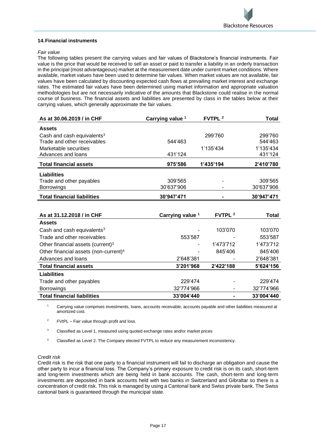

### **14.Financial instruments**

#### *Fair value*

The following tables present the carrying values and fair values of Blackstone's financial instruments. Fair value is the price that would be received to sell an asset or paid to transfer a liability in an orderly transaction in the principal (most advantageous) market at the measurement date under current market conditions. Where available, market values have been used to determine fair values. When market values are not available, fair values have been calculated by discounting expected cash flows at prevailing market interest and exchange rates. The estimated fair values have been determined using market information and appropriate valuation methodologies but are not necessarily indicative of the amounts that Blackstone could realise in the normal course of business. The financial assets and liabilities are presented by class in the tables below at their carrying values, which generally approximate the fair values.

| As at 30.06.2019 / in CHF              | Carrying value <sup>1</sup> | FVTPL <sup>2</sup> | Total      |
|----------------------------------------|-----------------------------|--------------------|------------|
| <b>Assets</b>                          |                             |                    |            |
| Cash and cash equivalents <sup>3</sup> |                             | 299'760            | 299'760    |
| Trade and other receivables            | 544'463                     |                    | 544'463    |
| Marketable securities                  |                             | 1'135'434          | 1'135'434  |
| Advances and loans                     | 431'124                     |                    | 431'124    |
| <b>Total financial assets</b>          | 975'586                     | 1'435'194          | 2'410'780  |
| <b>Liabilities</b>                     |                             |                    |            |
| Trade and other payables               | 309'565                     |                    | 309'565    |
| <b>Borrowings</b>                      | 30'637'906                  |                    | 30'637'906 |
| <b>Total financial liabilities</b>     | 30'947'471                  |                    | 30'947'471 |

| As at 31.12.2018 / in CHF                         | Carrying value <sup>1</sup> | <b>FVTPL 2</b> | <b>Total</b> |
|---------------------------------------------------|-----------------------------|----------------|--------------|
| <b>Assets</b>                                     |                             |                |              |
| Cash and cash equivalents <sup>3</sup>            |                             | 103'070        | 103'070      |
| Trade and other receivables                       | 553'587                     |                | 553'587      |
| Other financial assets (current) <sup>3</sup>     | -                           | 1'473'712      | 1'473'712    |
| Other financial assets (non-current) <sup>4</sup> | ۰                           | 845'406        | 845'406      |
| Advances and loans                                | 2'648'381                   | ۰              | 2'648'381    |
| <b>Total financial assets</b>                     | 3'201'968                   | 2'422'188      | 5'624'156    |
| Liabilities                                       |                             |                |              |
| Trade and other payables                          | 229'474                     |                | 229'474      |
| <b>Borrowings</b>                                 | 32'774'966                  | ٠              | 32'774'966   |
| <b>Total financial liabilities</b>                | 33'004'440                  |                | 33'004'440   |

Carrying value comprises investments, loans, accounts receivable, accounts payable and other liabilities measured at amortized cost.

<sup>2</sup> FVtPL – Fair value through profit and loss.

<sup>3</sup> Classified as Level 1, measured using quoted exchange rates and/or market prices

. <sup>4</sup> Classified as Level 2. The Company elected FVTPL to reduce any measurement inconsistency.

#### *Credit risk*

Credit risk is the risk that one party to a financial instrument will fail to discharge an obligation and cause the other party to incur a financial loss. The Company's primary exposure to credit risk is on its cash, short-term and long-term investments which are being held in bank accounts. The cash, short-term and long-term investments are deposited in bank accounts held with two banks in Switzerland and Gibraltar so there is a concentration of credit risk. This risk is managed by using a Cantonal bank and Swiss private bank. The Swiss cantonal bank is guaranteed through the municipal state.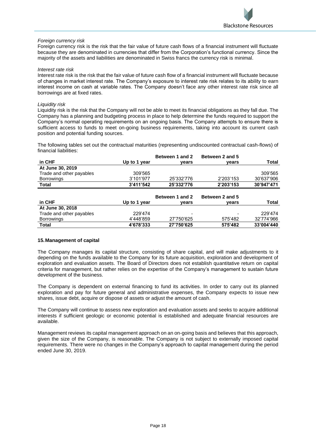

## *Foreign currency risk*

Foreign currency risk is the risk that the fair value of future cash flows of a financial instrument will fluctuate because they are denominated in currencies that differ from the Corporation's functional currency. Since the majority of the assets and liabilities are denominated in Swiss francs the currency risk is minimal.

#### *Interest rate risk*

Interest rate risk is the risk that the fair value of future cash flow of a financial instrument will fluctuate because of changes in market interest rate. The Company's exposure to interest rate risk relates to its ability to earn interest income on cash at variable rates. The Company doesn't face any other interest rate risk since all borrowings are at fixed rates.

#### *Liquidity risk*

Liquidity risk is the risk that the Company will not be able to meet its financial obligations as they fall due. The Company has a planning and budgeting process in place to help determine the funds required to support the Company's normal operating requirements on an ongoing basis. The Company attempts to ensure there is sufficient access to funds to meet on-going business requirements, taking into account its current cash position and potential funding sources.

The following tables set out the contractual maturities (representing undiscounted contractual cash-flows) of financial liabilities:

|                          |              | Between 1 and 2 | Between 2 and 5 |              |
|--------------------------|--------------|-----------------|-----------------|--------------|
| in CHF                   | Up to 1 year | vears           | vears           | <b>Total</b> |
| At June 30, 2019         |              |                 |                 |              |
| Trade and other payables | 309'565      |                 |                 | 309'565      |
| <b>Borrowings</b>        | 3'101'977    | 25'332'776      | 2'203'153       | 30'637'906   |
| <b>Total</b>             | 3'411'542    | 25'332'776      | 2'203'153       | 30'947'471   |
|                          |              |                 |                 |              |
|                          |              | Between 1 and 2 | Between 2 and 5 |              |
| in CHF                   | Up to 1 year | vears           | vears           | <b>Total</b> |
| At June 30, 2018         |              |                 |                 |              |
| Trade and other payables | 229'474      |                 |                 | 229'474      |
| <b>Borrowings</b>        | 4'448'859    | 27'750'625      | 575'482         | 32'774'966   |
| <b>Total</b>             | 4'678'333    | 27'750'625      | 575'482         | 33'004'440   |

#### **15.Management of capital**

The Company manages its capital structure, consisting of share capital, and will make adjustments to it depending on the funds available to the Company for its future acquisition, exploration and development of exploration and evaluation assets. The Board of Directors does not establish quantitative return on capital criteria for management, but rather relies on the expertise of the Company's management to sustain future development of the business.

The Company is dependent on external financing to fund its activities. In order to carry out its planned exploration and pay for future general and administrative expenses, the Company expects to issue new shares, issue debt, acquire or dispose of assets or adjust the amount of cash.

The Company will continue to assess new exploration and evaluation assets and seeks to acquire additional interests if sufficient geologic or economic potential is established and adequate financial resources are available.

Management reviews its capital management approach on an on-going basis and believes that this approach, given the size of the Company, is reasonable. The Company is not subject to externally imposed capital requirements. There were no changes in the Company's approach to capital management during the period ended June 30, 2019.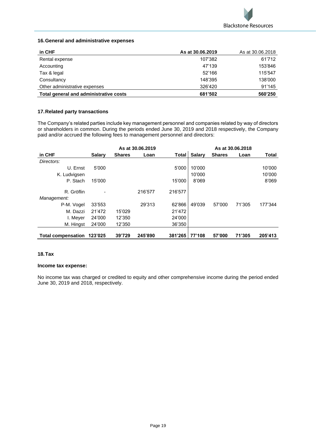

# **16.General and administrative expenses**

| in CHF                                 | As at 30.06.2019 | As at 30.06.2018 |
|----------------------------------------|------------------|------------------|
| Rental expense                         | 107'382          | 61'712           |
| Accounting                             | 47'139           | 153'846          |
| Tax & legal                            | 52'166           | 115'547          |
| Consultancy                            | 148'395          | 138'000          |
| Other administrative expenses          | 326'420          | 91'145           |
| Total general and administrative costs | 681'502          | 560'250          |

# **17.Related party transactions**

The Company's related parties include key management personnel and companies related by way of directors or shareholders in common. During the periods ended June 30, 2019 and 2018 respectively, the Company paid and/or accrued the following fees to management personnel and directors:

|                           |               |               | As at 30.06.2019 |         |               |               | As at 30.06.2018 |              |
|---------------------------|---------------|---------------|------------------|---------|---------------|---------------|------------------|--------------|
| in CHF                    | <b>Salary</b> | <b>Shares</b> | Loan             | Total   | <b>Salary</b> | <b>Shares</b> | Loan             | <b>Total</b> |
| Directors:                |               |               |                  |         |               |               |                  |              |
| U. Ernst                  | 5'000         |               |                  | 5'000   | 10'000        |               |                  | 10'000       |
| K. Ludvigsen              |               |               |                  |         | 10'000        |               |                  | 10'000       |
| P. Stach                  | 15'000        |               |                  | 15'000  | 8'069         |               |                  | 8'069        |
| R. Gröflin<br>Management: |               |               | 216'577          | 216'577 |               |               |                  |              |
| P-M. Vogel                | 33'553        |               | 29'313           | 62'866  | 49'039        | 57'000        | 71'305           | 177'344      |
|                           |               |               |                  |         |               |               |                  |              |
| M. Dazzi                  | 21'472        | 15'029        |                  | 21'472  |               |               |                  |              |
| I. Meyer                  | 24'000        | 12'350        |                  | 24'000  |               |               |                  |              |
| M. Hingst                 | 24'000        | 12'350        |                  | 36'350  |               |               |                  |              |
| <b>Total compensation</b> | 123'025       | 39'729        | 245'890          | 381'265 | 77'108        | 57'000        | 71'305           | 205'413      |

# **18.Tax**

# **Income tax expense:**

No income tax was charged or credited to equity and other comprehensive income during the period ended June 30, 2019 and 2018, respectively.